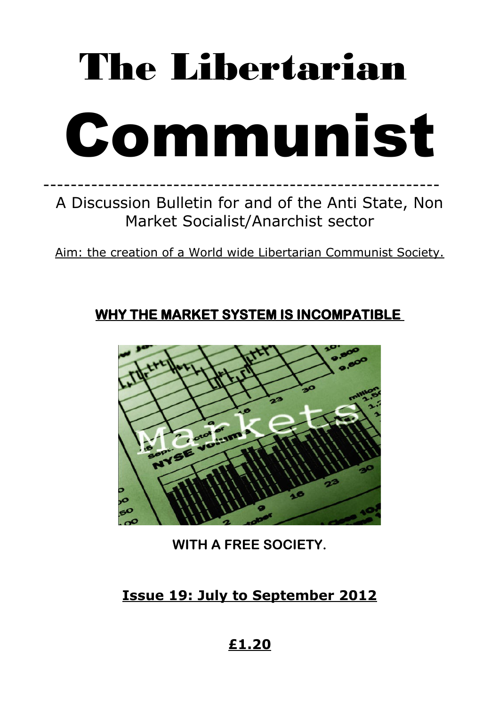# The Libertarian Communist

---------------------------------------------------------- A Discussion Bulletin for and of the Anti State, Non Market Socialist/Anarchist sector

Aim: the creation of a World wide Libertarian Communist Society.

# **WHY THE MARKET SYSTEM IS INCOMPATIBLE**



**WITH A FREE SOCIETY.**

**Issue 19: July to September 2012**

**£1.20**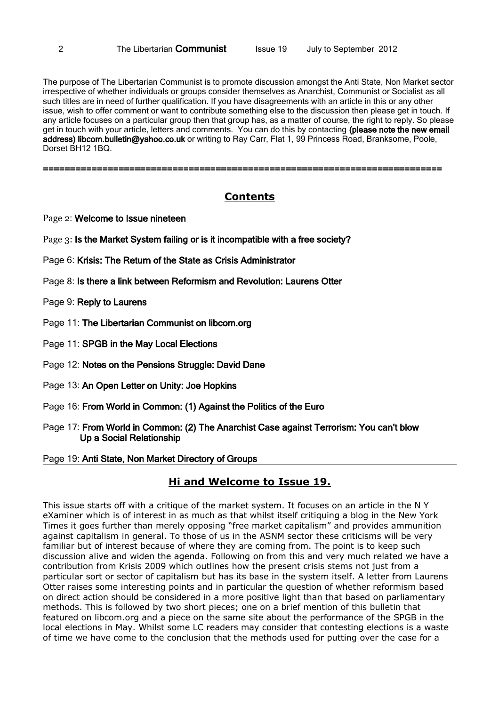The purpose of The Libertarian Communist is to promote discussion amongst the Anti State, Non Market sector irrespective of whether individuals or groups consider themselves as Anarchist, Communist or Socialist as all such titles are in need of further qualification. If you have disagreements with an article in this or any other issue, wish to offer comment or want to contribute something else to the discussion then please get in touch. If any article focuses on a particular group then that group has, as a matter of course, the right to reply. So please get in touch with your article, letters and comments. You can do this by contacting (please note the new email address) libcom.bulletin@yahoo.co.uk or writing to Ray Carr, Flat 1, 99 Princess Road, Branksome, Poole, Dorset BH12 1BQ.

# **Contents**

==========================================================================

Page 2: Welcome to Issue nineteen

- Page 3: Is the Market System failing or is it incompatible with a free society?
- Page 6: Krisis: The Return of the State as Crisis Administrator
- Page 8: Is there a link between Reformism and Revolution: Laurens Otter
- Page 9: Reply to Laurens
- Page 11: The Libertarian Communist on libcom.org
- Page 11: SPGB in the May Local Elections
- Page 12: Notes on the Pensions Struggle: David Dane
- Page 13: An Open Letter on Unity: Joe Hopkins
- Page 16: From World in Common: (1) Against the Politics of the Euro
- Page 17: From World in Common: (2) The Anarchist Case against Terrorism: You can't blow Up a Social Relationship

# Page 19: Anti State, Non Market Directory of Groups

# **Hi and Welcome to Issue 19.**

This issue starts off with a critique of the market system. It focuses on an article in the N Y eXaminer which is of interest in as much as that whilst itself critiquing a blog in the New York Times it goes further than merely opposing "free market capitalism" and provides ammunition against capitalism in general. To those of us in the ASNM sector these criticisms will be very familiar but of interest because of where they are coming from. The point is to keep such discussion alive and widen the agenda. Following on from this and very much related we have a contribution from Krisis 2009 which outlines how the present crisis stems not just from a particular sort or sector of capitalism but has its base in the system itself. A letter from Laurens Otter raises some interesting points and in particular the question of whether reformism based on direct action should be considered in a more positive light than that based on parliamentary methods. This is followed by two short pieces; one on a brief mention of this bulletin that featured on libcom.org and a piece on the same site about the performance of the SPGB in the local elections in May. Whilst some LC readers may consider that contesting elections is a waste of time we have come to the conclusion that the methods used for putting over the case for a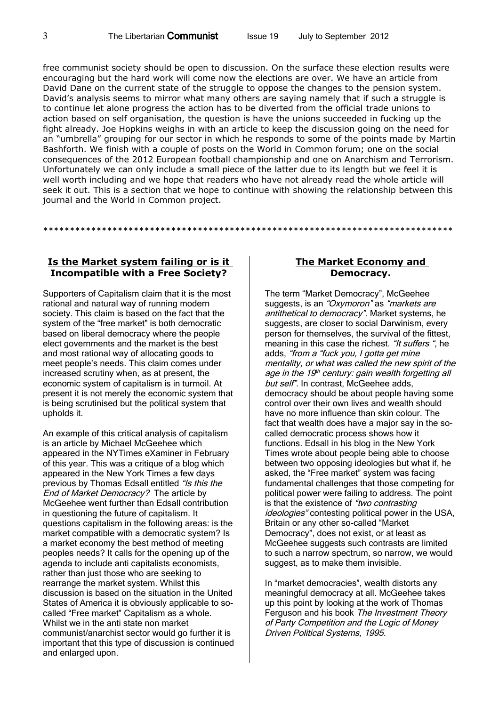free communist society should be open to discussion. On the surface these election results were encouraging but the hard work will come now the elections are over. We have an article from David Dane on the current state of the struggle to oppose the changes to the pension system. David's analysis seems to mirror what many others are saying namely that if such a struggle is to continue let alone progress the action has to be diverted from the official trade unions to action based on self organisation, the question is have the unions succeeded in fucking up the fight already. Joe Hopkins weighs in with an article to keep the discussion going on the need for an "umbrella" grouping for our sector in which he responds to some of the points made by Martin Bashforth. We finish with a couple of posts on the World in Common forum; one on the social consequences of the 2012 European football championship and one on Anarchism and Terrorism. Unfortunately we can only include a small piece of the latter due to its length but we feel it is well worth including and we hope that readers who have not already read the whole article will seek it out. This is a section that we hope to continue with showing the relationship between this journal and the World in Common project.

\*\*\*\*\*\*\*\*\*\*\*\*\*\*\*\*\*\*\*\*\*\*\*\*\*\*\*\*\*\*\*\*\*\*\*\*\*\*\*\*\*\*\*\*\*\*\*\*\*\*\*\*\*\*\*\*\*\*\*\*\*\*\*\*\*\*\*\*\*\*\*\*\*\*\*\*\*

# **Is the Market system failing or is it Incompatible with a Free Society?**

Supporters of Capitalism claim that it is the most rational and natural way of running modern society. This claim is based on the fact that the system of the "free market" is both democratic based on liberal democracy where the people elect governments and the market is the best and most rational way of allocating goods to meet people's needs. This claim comes under increased scrutiny when, as at present, the economic system of capitalism is in turmoil. At present it is not merely the economic system that is being scrutinised but the political system that upholds it.

An example of this critical analysis of capitalism is an article by Michael McGeehee which appeared in the NYTimes eXaminer in February of this year. This was a critique of a blog which appeared in the New York Times a few days previous by Thomas Edsall entitled "Is this the End of Market Democracy? The article by McGeehee went further than Edsall contribution in questioning the future of capitalism. It questions capitalism in the following areas: is the market compatible with a democratic system? Is a market economy the best method of meeting peoples needs? It calls for the opening up of the agenda to include anti capitalists economists, rather than just those who are seeking to rearrange the market system. Whilst this discussion is based on the situation in the United States of America it is obviously applicable to socalled "Free market" Capitalism as a whole. Whilst we in the anti state non market communist/anarchist sector would go further it is important that this type of discussion is continued and enlarged upon.

# **The Market Economy and Democracy.**

The term "Market Democracy", McGeehee suggests, is an "Oxymoron" as "markets are antithetical to democracy". Market systems, he suggests, are closer to social Darwinism, every person for themselves, the survival of the fittest, meaning in this case the richest. "It suffers", he adds, "from a "fuck you, I gotta get mine mentality, or what was called the new spirit of the age in the 19<sup>th</sup> century: gain wealth forgetting all but self". In contrast, McGeehee adds, democracy should be about people having some control over their own lives and wealth should have no more influence than skin colour. The fact that wealth does have a major say in the socalled democratic process shows how it functions. Edsall in his blog in the New York Times wrote about people being able to choose between two opposing ideologies but what if, he asked, the "Free market" system was facing fundamental challenges that those competing for political power were failing to address. The point is that the existence of "two contrasting" ideologies" contesting political power in the USA, Britain or any other so-called "Market Democracy", does not exist, or at least as McGeehee suggests such contrasts are limited to such a narrow spectrum, so narrow, we would suggest, as to make them invisible.

In "market democracies", wealth distorts any meaningful democracy at all. McGeehee takes up this point by looking at the work of Thomas Ferguson and his book The Investment Theory of Party Competition and the Logic of Money Driven Political Systems, 1995.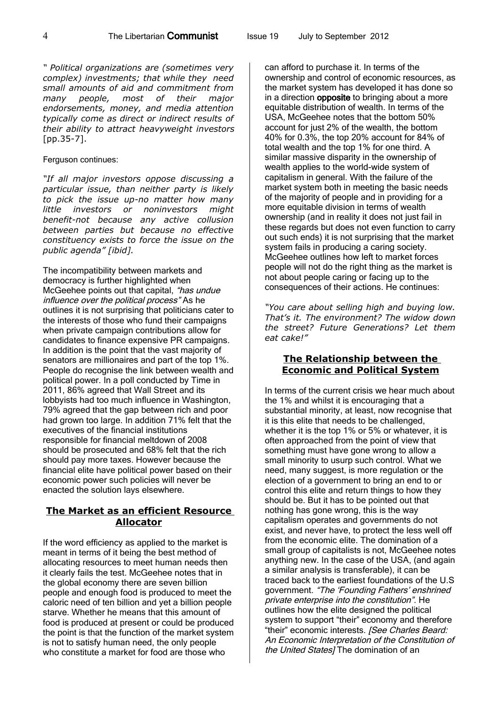*" Political organizations are (sometimes very complex) investments; that while they need small amounts of aid and commitment from many people, most of their major endorsements, money, and media attention typically come as direct or indirect results of their ability to attract heavyweight investors* [pp.35-7].

### Ferguson continues:

*"If all major investors oppose discussing a particular issue, than neither party is likely to pick the issue up-no matter how many little investors or noninvestors might benefit-not because any active collusion between parties but because no effective constituency exists to force the issue on the public agenda" [ibid].*

The incompatibility between markets and democracy is further highlighted when McGeehee points out that capital, "has undue influence over the political process" As he outlines it is not surprising that politicians cater to the interests of those who fund their campaigns when private campaign contributions allow for candidates to finance expensive PR campaigns. In addition is the point that the vast majority of senators are millionaires and part of the top 1%. People do recognise the link between wealth and political power. In a poll conducted by Time in 2011, 86% agreed that Wall Street and its lobbyists had too much influence in Washington, 79% agreed that the gap between rich and poor had grown too large. In addition 71% felt that the executives of the financial institutions responsible for financial meltdown of 2008 should be prosecuted and 68% felt that the rich should pay more taxes. However because the financial elite have political power based on their economic power such policies will never be enacted the solution lays elsewhere.

# **The Market as an efficient Resource Allocator**

If the word efficiency as applied to the market is meant in terms of it being the best method of allocating resources to meet human needs then it clearly fails the test. McGeehee notes that in the global economy there are seven billion people and enough food is produced to meet the caloric need of ten billion and yet a billion people starve. Whether he means that this amount of food is produced at present or could be produced the point is that the function of the market system is not to satisfy human need, the only people who constitute a market for food are those who

can afford to purchase it. In terms of the ownership and control of economic resources, as the market system has developed it has done so in a direction **opposite** to bringing about a more equitable distribution of wealth. In terms of the USA, McGeehee notes that the bottom 50% account for just 2% of the wealth, the bottom 40% for 0.3%, the top 20% account for 84% of total wealth and the top 1% for one third. A similar massive disparity in the ownership of wealth applies to the world-wide system of capitalism in general. With the failure of the market system both in meeting the basic needs of the majority of people and in providing for a more equitable division in terms of wealth ownership (and in reality it does not just fail in these regards but does not even function to carry out such ends) it is not surprising that the market system fails in producing a caring society. McGeehee outlines how left to market forces people will not do the right thing as the market is not about people caring or facing up to the consequences of their actions. He continues:

*"You care about selling high and buying low. That's it. The environment? The widow down the street? Future Generations? Let them eat cake!"*

# **The Relationship between the Economic and Political System**

In terms of the current crisis we hear much about the 1% and whilst it is encouraging that a substantial minority, at least, now recognise that it is this elite that needs to be challenged, whether it is the top 1% or 5% or whatever, it is often approached from the point of view that something must have gone wrong to allow a small minority to usurp such control. What we need, many suggest, is more regulation or the election of a government to bring an end to or control this elite and return things to how they should be. But it has to be pointed out that nothing has gone wrong, this is the way capitalism operates and governments do not exist, and never have, to protect the less well off from the economic elite. The domination of a small group of capitalists is not, McGeehee notes anything new. In the case of the USA, (and again a similar analysis is transferable), it can be traced back to the earliest foundations of the U.S government. "The 'Founding Fathers' enshrined private enterprise into the constitution". He outlines how the elite designed the political system to support "their" economy and therefore "their" economic interests. [See Charles Beard: An Economic Interpretation of the Constitution of the United States] The domination of an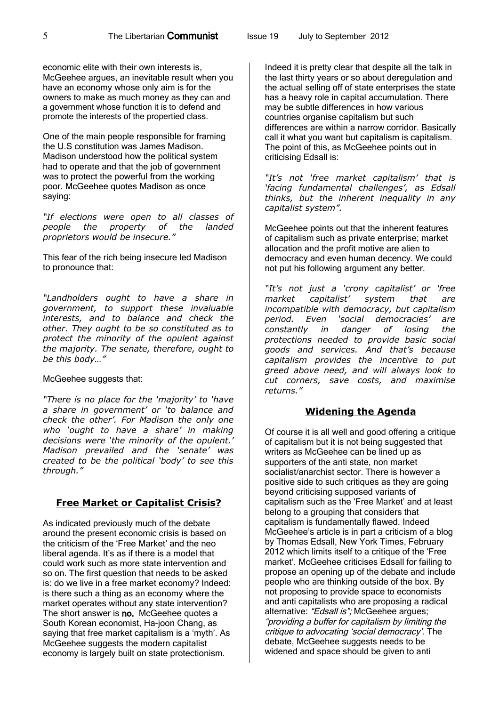economic elite with their own interests is, McGeehee argues, an inevitable result when you have an economy whose only aim is for the owners to make as much money as they can and a government whose function it is to defend and promote the interests of the propertied class.

One of the main people responsible for framing the U.S constitution was James Madison. Madison understood how the political system had to operate and that the job of government was to protect the powerful from the working poor. McGeehee quotes Madison as once saying:

*"If elections were open to all classes of people the property of the landed proprietors would be insecure."*

This fear of the rich being insecure led Madison to pronounce that:

*"Landholders ought to have a share in government, to support these invaluable interests, and to balance and check the other. They ought to be so constituted as to protect the minority of the opulent against the majority. The senate, therefore, ought to be this body…"*

### McGeehee suggests that:

*"There is no place for the 'majority' to 'have a share in government' or 'to balance and check the other'. For Madison the only one who 'ought to have a share' in making decisions were 'the minority of the opulent.' Madison prevailed and the 'senate' was created to be the political 'body' to see this through."*

# **Free Market or Capitalist Crisis?**

As indicated previously much of the debate around the present economic crisis is based on the criticism of the 'Free Market' and the neo liberal agenda. It's as if there is a model that could work such as more state intervention and so on. The first question that needs to be asked is: do we live in a free market economy? Indeed: is there such a thing as an economy where the market operates without any state intervention? The short answer is no. McGeehee quotes a South Korean economist, Ha-joon Chang, as saying that free market capitalism is a 'myth'. As McGeehee suggests the modern capitalist economy is largely built on state protectionism.

Indeed it is pretty clear that despite all the talk in the last thirty years or so about deregulation and the actual selling off of state enterprises the state has a heavy role in capital accumulation. There may be subtle differences in how various countries organise capitalism but such differences are within a narrow corridor. Basically call it what you want but capitalism is capitalism. The point of this, as McGeehee points out in criticising Edsall is:

*"It's not 'free market capitalism' that is 'facing fundamental challenges', as Edsall thinks, but the inherent inequality in any capitalist system".*

McGeehee points out that the inherent features of capitalism such as private enterprise; market allocation and the profit motive are alien to democracy and even human decency. We could not put his following argument any better.

*"It's not just a 'crony capitalist' or 'free market capitalist' system that are incompatible with democracy, but capitalism period. Even 'social democracies' are constantly in danger of losing the protections needed to provide basic social goods and services. And that's because capitalism provides the incentive to put greed above need, and will always look to cut corners, save costs, and maximise returns."*

# **Widening the Agenda**

Of course it is all well and good offering a critique of capitalism but it is not being suggested that writers as McGeehee can be lined up as supporters of the anti state, non market socialist/anarchist sector. There is however a positive side to such critiques as they are going beyond criticising supposed variants of capitalism such as the 'Free Market' and at least belong to a grouping that considers that capitalism is fundamentally flawed. Indeed McGeehee's article is in part a criticism of a blog by Thomas Edsall, New York Times, February 2012 which limits itself to a critique of the 'Free market'. McGeehee criticises Edsall for failing to propose an opening up of the debate and include people who are thinking outside of the box. By not proposing to provide space to economists and anti capitalists who are proposing a radical alternative: "Edsall is"; McGeehee arques; "providing a buffer for capitalism by limiting the critique to advocating 'social democracy'. The debate. McGeehee suggests needs to be widened and space should be given to anti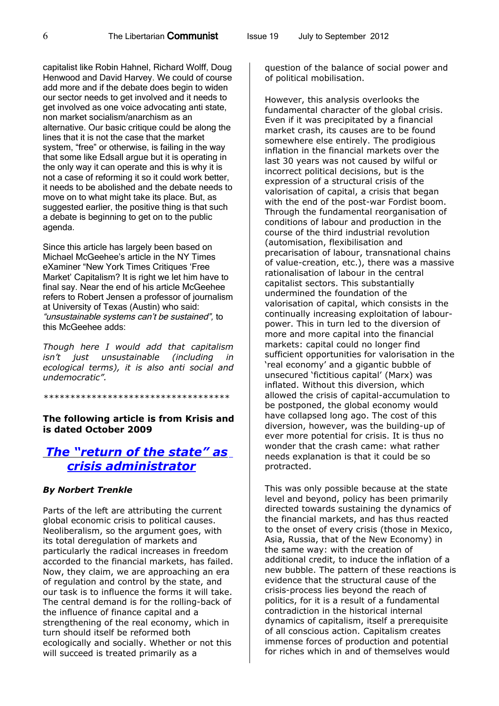capitalist like Robin Hahnel, Richard Wolff, Doug Henwood and David Harvey. We could of course add more and if the debate does begin to widen our sector needs to get involved and it needs to get involved as one voice advocating anti state, non market socialism/anarchism as an alternative. Our basic critique could be along the lines that it is not the case that the market system, "free" or otherwise, is failing in the way that some like Edsall argue but it is operating in the only way it can operate and this is why it is not a case of reforming it so it could work better, it needs to be abolished and the debate needs to move on to what might take its place. But, as suggested earlier, the positive thing is that such a debate is beginning to get on to the public agenda.

Since this article has largely been based on Michael McGeehee's article in the NY Times eXaminer "New York Times Critiques 'Free Market' Capitalism? It is right we let him have to final say. Near the end of his article McGeehee refers to Robert Jensen a professor of journalism at University of Texas (Austin) who said: "unsustainable systems can't be sustained", to this McGeehee adds:

*Though here I would add that capitalism isn't just unsustainable (including in ecological terms), it is also anti social and undemocratic".*

*\*\*\*\*\*\*\*\*\*\*\*\*\*\*\*\*\*\*\*\*\*\*\*\*\*\*\*\*\*\*\*\*\*\*\**

**The following article is from Krisis and is dated October 2009**

# *[The "return of the state" as](http://www.krisis.org/2009/the-return-of-the-state-as-crisis-administrator) [crisis administrator](http://www.krisis.org/2009/the-return-of-the-state-as-crisis-administrator)*

# *By Norbert Trenkle*

Parts of the left are attributing the current global economic crisis to political causes. Neoliberalism, so the argument goes, with its total deregulation of markets and particularly the radical increases in freedom accorded to the financial markets, has failed. Now, they claim, we are approaching an era of regulation and control by the state, and our task is to influence the forms it will take. The central demand is for the rolling-back of the influence of finance capital and a strengthening of the real economy, which in turn should itself be reformed both ecologically and socially. Whether or not this will succeed is treated primarily as a

question of the balance of social power and of political mobilisation.

However, this analysis overlooks the fundamental character of the global crisis. Even if it was precipitated by a financial market crash, its causes are to be found somewhere else entirely. The prodigious inflation in the financial markets over the last 30 years was not caused by wilful or incorrect political decisions, but is the expression of a structural crisis of the valorisation of capital, a crisis that began with the end of the post-war Fordist boom. Through the fundamental reorganisation of conditions of labour and production in the course of the third industrial revolution (automisation, flexibilisation and precarisation of labour, transnational chains of value-creation, etc.), there was a massive rationalisation of labour in the central capitalist sectors. This substantially undermined the foundation of the valorisation of capital, which consists in the continually increasing exploitation of labourpower. This in turn led to the diversion of more and more capital into the financial markets: capital could no longer find sufficient opportunities for valorisation in the 'real economy' and a gigantic bubble of unsecured 'fictitious capital' (Marx) was inflated. Without this diversion, which allowed the crisis of capital-accumulation to be postponed, the global economy would have collapsed long ago. The cost of this diversion, however, was the building-up of ever more potential for crisis. It is thus no wonder that the crash came: what rather needs explanation is that it could be so protracted.

This was only possible because at the state level and beyond, policy has been primarily directed towards sustaining the dynamics of the financial markets, and has thus reacted to the onset of every crisis (those in Mexico, Asia, Russia, that of the New Economy) in the same way: with the creation of additional credit, to induce the inflation of a new bubble. The pattern of these reactions is evidence that the structural cause of the crisis-process lies beyond the reach of politics, for it is a result of a fundamental contradiction in the historical internal dynamics of capitalism, itself a prerequisite of all conscious action. Capitalism creates immense forces of production and potential for riches which in and of themselves would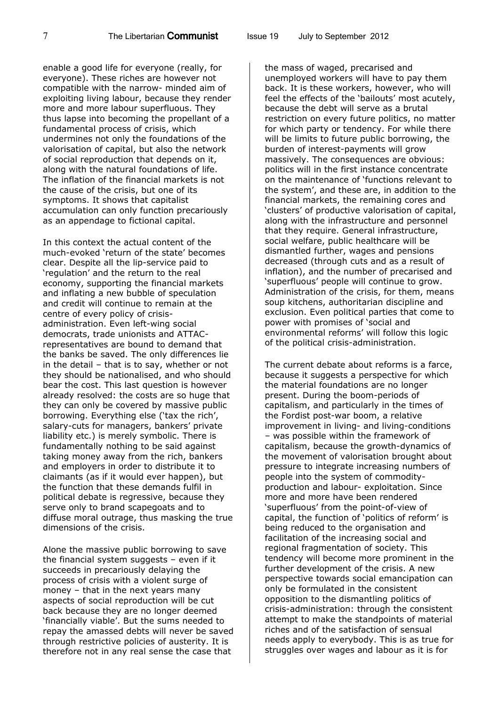enable a good life for everyone (really, for everyone). These riches are however not compatible with the narrow- minded aim of exploiting living labour, because they render more and more labour superfluous. They thus lapse into becoming the propellant of a fundamental process of crisis, which undermines not only the foundations of the valorisation of capital, but also the network of social reproduction that depends on it, along with the natural foundations of life. The inflation of the financial markets is not the cause of the crisis, but one of its symptoms. It shows that capitalist accumulation can only function precariously as an appendage to fictional capital.

In this context the actual content of the much-evoked 'return of the state' becomes clear. Despite all the lip-service paid to 'regulation' and the return to the real economy, supporting the financial markets and inflating a new bubble of speculation and credit will continue to remain at the centre of every policy of crisisadministration. Even left-wing social democrats, trade unionists and ATTACrepresentatives are bound to demand that the banks be saved. The only differences lie in the detail – that is to say, whether or not they should be nationalised, and who should bear the cost. This last question is however already resolved: the costs are so huge that they can only be covered by massive public borrowing. Everything else ('tax the rich', salary-cuts for managers, bankers' private liability etc.) is merely symbolic. There is fundamentally nothing to be said against taking money away from the rich, bankers and employers in order to distribute it to claimants (as if it would ever happen), but the function that these demands fulfil in political debate is regressive, because they serve only to brand scapegoats and to diffuse moral outrage, thus masking the true dimensions of the crisis.

Alone the massive public borrowing to save the financial system suggests  $-$  even if it succeeds in precariously delaying the process of crisis with a violent surge of money – that in the next years many aspects of social reproduction will be cut back because they are no longer deemed 'financially viable'. But the sums needed to repay the amassed debts will never be saved through restrictive policies of austerity. It is therefore not in any real sense the case that

the mass of waged, precarised and unemployed workers will have to pay them back. It is these workers, however, who will feel the effects of the 'bailouts' most acutely, because the debt will serve as a brutal restriction on every future politics, no matter for which party or tendency. For while there will be limits to future public borrowing, the burden of interest-payments will grow massively. The consequences are obvious: politics will in the first instance concentrate on the maintenance of 'functions relevant to the system', and these are, in addition to the financial markets, the remaining cores and 'clusters' of productive valorisation of capital, along with the infrastructure and personnel that they require. General infrastructure, social welfare, public healthcare will be dismantled further, wages and pensions decreased (through cuts and as a result of inflation), and the number of precarised and 'superfluous' people will continue to grow. Administration of the crisis, for them, means soup kitchens, authoritarian discipline and exclusion. Even political parties that come to power with promises of 'social and environmental reforms' will follow this logic of the political crisis-administration.

The current debate about reforms is a farce, because it suggests a perspective for which the material foundations are no longer present. During the boom-periods of capitalism, and particularly in the times of the Fordist post-war boom, a relative improvement in living- and living-conditions – was possible within the framework of capitalism, because the growth-dynamics of the movement of valorisation brought about pressure to integrate increasing numbers of people into the system of commodityproduction and labour- exploitation. Since more and more have been rendered 'superfluous' from the point-of-view of capital, the function of 'politics of reform' is being reduced to the organisation and facilitation of the increasing social and regional fragmentation of society. This tendency will become more prominent in the further development of the crisis. A new perspective towards social emancipation can only be formulated in the consistent opposition to the dismantling politics of crisis-administration: through the consistent attempt to make the standpoints of material riches and of the satisfaction of sensual needs apply to everybody. This is as true for struggles over wages and labour as it is for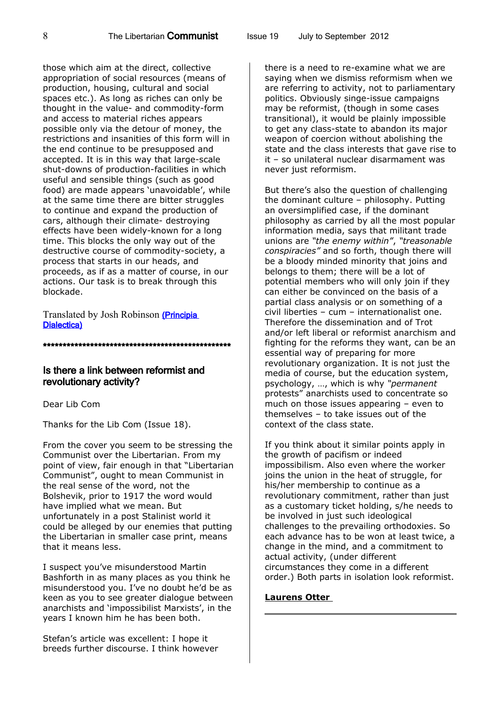those which aim at the direct, collective appropriation of social resources (means of production, housing, cultural and social spaces etc.). As long as riches can only be thought in the value- and commodity-form and access to material riches appears possible only via the detour of money, the restrictions and insanities of this form will in the end continue to be presupposed and accepted. It is in this way that large-scale shut-downs of production-facilities in which useful and sensible things (such as good food) are made appears 'unavoidable', while at the same time there are bitter struggles to continue and expand the production of cars, although their climate- destroying effects have been widely-known for a long time. This blocks the only way out of the destructive course of commodity-society, a process that starts in our heads, and proceeds, as if as a matter of course, in our actions. Our task is to break through this blockade.

Translated by Josh Robinson (Principia [Dialectica\)](http://www.principiadialectica.co.uk/)

### \*\*\*\*\*\*\*\*\*\*\*\*\*\*\*\*\*\*\*\*\*\*\*\*\*\*\*\*\*\*\*\*\*\*\*\*\*\*\*\*\*\*\*\*\*\*\*\*

# Is there a link between reformist and revolutionary activity?

Dear Lib Com

Thanks for the Lib Com (Issue 18).

From the cover you seem to be stressing the Communist over the Libertarian. From my point of view, fair enough in that "Libertarian Communist", ought to mean Communist in the real sense of the word, not the Bolshevik, prior to 1917 the word would have implied what we mean. But unfortunately in a post Stalinist world it could be alleged by our enemies that putting the Libertarian in smaller case print, means that it means less.

I suspect you've misunderstood Martin Bashforth in as many places as you think he misunderstood you. I've no doubt he'd be as keen as you to see greater dialogue between anarchists and 'impossibilist Marxists', in the years I known him he has been both.

Stefan's article was excellent: I hope it breeds further discourse. I think however there is a need to re-examine what we are saying when we dismiss reformism when we are referring to activity, not to parliamentary politics. Obviously singe-issue campaigns may be reformist, (though in some cases transitional), it would be plainly impossible to get any class-state to abandon its major weapon of coercion without abolishing the state and the class interests that gave rise to it – so unilateral nuclear disarmament was never just reformism.

But there's also the question of challenging the dominant culture – philosophy. Putting an oversimplified case, if the dominant philosophy as carried by all the most popular information media, says that militant trade unions are *"the enemy within"*, *"treasonable conspiracies"* and so forth, though there will be a bloody minded minority that joins and belongs to them; there will be a lot of potential members who will only join if they can either be convinced on the basis of a partial class analysis or on something of a civil liberties – cum – internationalist one. Therefore the dissemination and of Trot and/or left liberal or reformist anarchism and fighting for the reforms they want, can be an essential way of preparing for more revolutionary organization. It is not just the media of course, but the education system, psychology, …, which is why *"permanent* protests" anarchists used to concentrate so much on those issues appearing – even to themselves – to take issues out of the context of the class state.

If you think about it similar points apply in the growth of pacifism or indeed impossibilism. Also even where the worker joins the union in the heat of struggle, for his/her membership to continue as a revolutionary commitment, rather than just as a customary ticket holding, s/he needs to be involved in just such ideological challenges to the prevailing orthodoxies. So each advance has to be won at least twice, a change in the mind, and a commitment to actual activity, (under different circumstances they come in a different order.) Both parts in isolation look reformist.

### **Laurens Otter**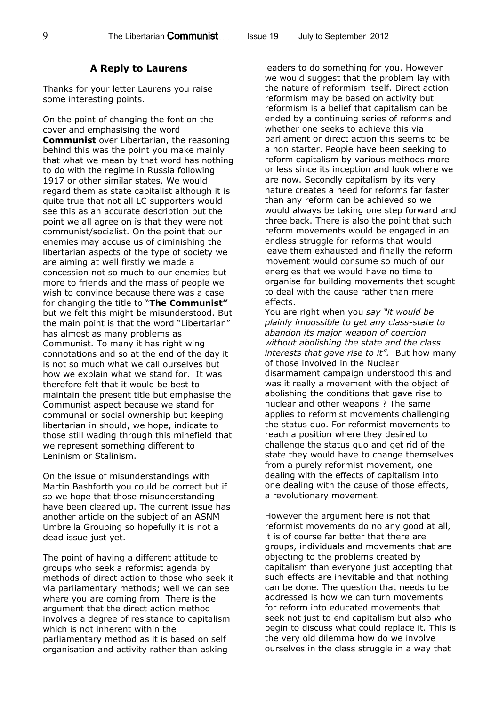# **A Reply to Laurens**

Thanks for your letter Laurens you raise some interesting points.

On the point of changing the font on the cover and emphasising the word **Communist** over Libertarian, the reasoning behind this was the point you make mainly that what we mean by that word has nothing to do with the regime in Russia following 1917 or other similar states. We would regard them as state capitalist although it is quite true that not all LC supporters would see this as an accurate description but the point we all agree on is that they were not communist/socialist. On the point that our enemies may accuse us of diminishing the libertarian aspects of the type of society we are aiming at well firstly we made a concession not so much to our enemies but more to friends and the mass of people we wish to convince because there was a case for changing the title to "**The Communist"** but we felt this might be misunderstood. But the main point is that the word "Libertarian" has almost as many problems as Communist. To many it has right wing connotations and so at the end of the day it is not so much what we call ourselves but how we explain what we stand for. It was therefore felt that it would be best to maintain the present title but emphasise the Communist aspect because we stand for communal or social ownership but keeping libertarian in should, we hope, indicate to those still wading through this minefield that we represent something different to Leninism or Stalinism.

On the issue of misunderstandings with Martin Bashforth you could be correct but if so we hope that those misunderstanding have been cleared up. The current issue has another article on the subject of an ASNM Umbrella Grouping so hopefully it is not a dead issue just yet.

The point of having a different attitude to groups who seek a reformist agenda by methods of direct action to those who seek it via parliamentary methods; well we can see where you are coming from. There is the argument that the direct action method involves a degree of resistance to capitalism which is not inherent within the parliamentary method as it is based on self organisation and activity rather than asking

leaders to do something for you. However we would suggest that the problem lay with the nature of reformism itself. Direct action reformism may be based on activity but reformism is a belief that capitalism can be ended by a continuing series of reforms and whether one seeks to achieve this via parliament or direct action this seems to be a non starter. People have been seeking to reform capitalism by various methods more or less since its inception and look where we are now. Secondly capitalism by its very nature creates a need for reforms far faster than any reform can be achieved so we would always be taking one step forward and three back. There is also the point that such reform movements would be engaged in an endless struggle for reforms that would leave them exhausted and finally the reform movement would consume so much of our energies that we would have no time to organise for building movements that sought to deal with the cause rather than mere effects.

You are right when you *say "it would be plainly impossible to get any class-state to abandon its major weapon of coercion without abolishing the state and the class interests that gave rise to it".* But how many of those involved in the Nuclear disarmament campaign understood this and was it really a movement with the object of abolishing the conditions that gave rise to nuclear and other weapons ? The same applies to reformist movements challenging the status quo. For reformist movements to reach a position where they desired to challenge the status quo and get rid of the state they would have to change themselves from a purely reformist movement, one dealing with the effects of capitalism into one dealing with the cause of those effects, a revolutionary movement.

However the argument here is not that reformist movements do no any good at all, it is of course far better that there are groups, individuals and movements that are objecting to the problems created by capitalism than everyone just accepting that such effects are inevitable and that nothing can be done. The question that needs to be addressed is how we can turn movements for reform into educated movements that seek not just to end capitalism but also who begin to discuss what could replace it. This is the very old dilemma how do we involve ourselves in the class struggle in a way that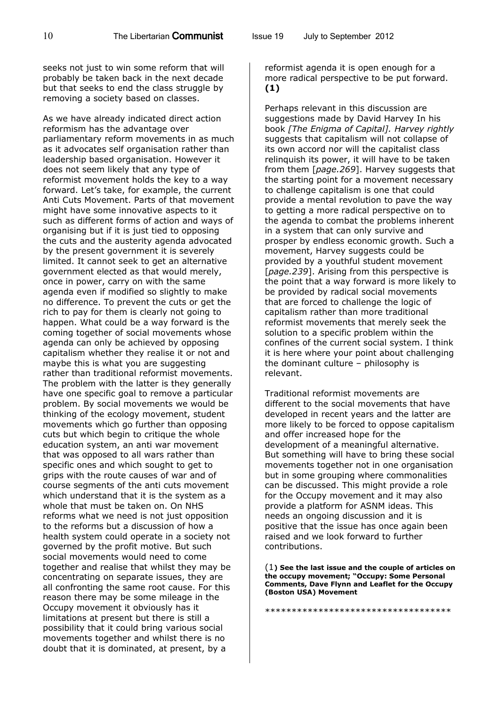seeks not just to win some reform that will probably be taken back in the next decade but that seeks to end the class struggle by removing a society based on classes.

As we have already indicated direct action reformism has the advantage over parliamentary reform movements in as much as it advocates self organisation rather than leadership based organisation. However it does not seem likely that any type of reformist movement holds the key to a way forward. Let's take, for example, the current Anti Cuts Movement. Parts of that movement might have some innovative aspects to it such as different forms of action and ways of organising but if it is just tied to opposing the cuts and the austerity agenda advocated by the present government it is severely limited. It cannot seek to get an alternative government elected as that would merely, once in power, carry on with the same agenda even if modified so slightly to make no difference. To prevent the cuts or get the rich to pay for them is clearly not going to happen. What could be a way forward is the coming together of social movements whose agenda can only be achieved by opposing capitalism whether they realise it or not and maybe this is what you are suggesting rather than traditional reformist movements. The problem with the latter is they generally have one specific goal to remove a particular problem. By social movements we would be thinking of the ecology movement, student movements which go further than opposing cuts but which begin to critique the whole education system, an anti war movement that was opposed to all wars rather than specific ones and which sought to get to grips with the route causes of war and of course segments of the anti cuts movement which understand that it is the system as a whole that must be taken on. On NHS reforms what we need is not just opposition to the reforms but a discussion of how a health system could operate in a society not governed by the profit motive. But such social movements would need to come together and realise that whilst they may be concentrating on separate issues, they are all confronting the same root cause. For this reason there may be some mileage in the Occupy movement it obviously has it limitations at present but there is still a possibility that it could bring various social movements together and whilst there is no doubt that it is dominated, at present, by a

reformist agenda it is open enough for a more radical perspective to be put forward. **(1)**

Perhaps relevant in this discussion are suggestions made by David Harvey In his book *[The Enigma of Capital]. Harvey rightly* suggests that capitalism will not collapse of its own accord nor will the capitalist class relinquish its power, it will have to be taken from them [*page.269*]. Harvey suggests that the starting point for a movement necessary to challenge capitalism is one that could provide a mental revolution to pave the way to getting a more radical perspective on to the agenda to combat the problems inherent in a system that can only survive and prosper by endless economic growth. Such a movement, Harvey suggests could be provided by a youthful student movement [*page.239*]. Arising from this perspective is the point that a way forward is more likely to be provided by radical social movements that are forced to challenge the logic of capitalism rather than more traditional reformist movements that merely seek the solution to a specific problem within the confines of the current social system. I think it is here where your point about challenging the dominant culture – philosophy is relevant.

Traditional reformist movements are different to the social movements that have developed in recent years and the latter are more likely to be forced to oppose capitalism and offer increased hope for the development of a meaningful alternative. But something will have to bring these social movements together not in one organisation but in some grouping where commonalities can be discussed. This might provide a role for the Occupy movement and it may also provide a platform for ASNM ideas. This needs an ongoing discussion and it is positive that the issue has once again been raised and we look forward to further contributions.

(1**) See the last issue and the couple of articles on the occupy movement; "Occupy: Some Personal Comments, Dave Flynn and Leaflet for the Occupy (Boston USA) Movement** 

\*\*\*\*\*\*\*\*\*\*\*\*\*\*\*\*\*\*\*\*\*\*\*\*\*\*\*\*\*\*\*\*\*\*\*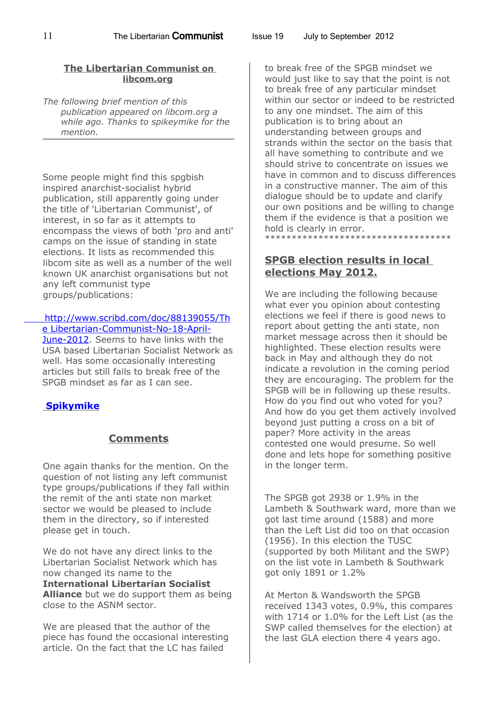# **T he Libertarian Communist on libcom.org**

*The following brief mention of this publication appeared on libcom.org a while ago. Thanks to spikeymike for the mention.*

 Some people might find this spgbish inspired anarchist-socialist hybrid publication, still apparently going under the title of 'Libertarian Communist', of interest, in so far as it attempts to encompass the views of both 'pro and anti' camps on the issue of standing in state elections. It lists as recommended this libcom site as well as a number of the well known UK anarchist organisations but not any left communist type groups/publications:

 [http://www.scribd.com/doc/88139055/Th](http://www.scribd.com/doc/88139055/The)  [e](http://www.scribd.com/doc/88139055/The) [Libertarian-Communist-No-18-April-](http://www.scribd.com/doc/88139055/The-Libertarian-Communist-No-18-April-June-2012)

[June-2012.](http://www.scribd.com/doc/88139055/The-Libertarian-Communist-No-18-April-June-2012) Seems to have links with the USA based Libertarian Socialist Network as well. Has some occasionally interesting articles but still fails to break free of the SPGB mindset as far as I can see.

# **[Spikymike](http://libcom.org/user/3069)**

# **Comments**

One again thanks for the mention. On the question of not listing any left communist type groups/publications if they fall within the remit of the anti state non market sector we would be pleased to include them in the directory, so if interested please get in touch.

We do not have any direct links to the Libertarian Socialist Network which has now changed its name to the **International Libertarian Socialist**

**Alliance** but we do support them as being close to the ASNM sector.

We are pleased that the author of the piece has found the occasional interesting article. On the fact that the LC has failed

to break free of the SPGB mindset we would just like to say that the point is not to break free of any particular mindset within our sector or indeed to be restricted to any one mindset. The aim of this publication is to bring about an understanding between groups and strands within the sector on the basis that all have something to contribute and we should strive to concentrate on issues we have in common and to discuss differences in a constructive manner. The aim of this dialogue should be to update and clarify our own positions and be willing to change them if the evidence is that a position we hold is clearly in error. \*\*\*\*\*\*\*\*\*\*\*\*\*\*\*\*\*\*\*\*\*\*\*\*\*\*\*\*\*\*\*\*\*\*\*

# **SPGB election results in local elections May 2012.**

We are including the following because what ever you opinion about contesting elections we feel if there is good news to report about getting the anti state, non market message across then it should be highlighted. These election results were back in May and although they do not indicate a revolution in the coming period they are encouraging. The problem for the SPGB will be in following up these results. How do you find out who voted for you? And how do you get them actively involved beyond just putting a cross on a bit of paper? More activity in the areas contested one would presume. So well done and lets hope for something positive in the longer term.

The SPGB got 2938 or 1.9% in the Lambeth & Southwark ward, more than we got last time around (1588) and more than the Left List did too on that occasion (1956). In this election the TUSC (supported by both Militant and the SWP) on the list vote in Lambeth & Southwark got only 1891 or 1.2%

At Merton & Wandsworth the SPGB received 1343 votes, 0.9%, this compares with 1714 or 1.0% for the Left List (as the SWP called themselves for the election) at the last GLA election there 4 years ago.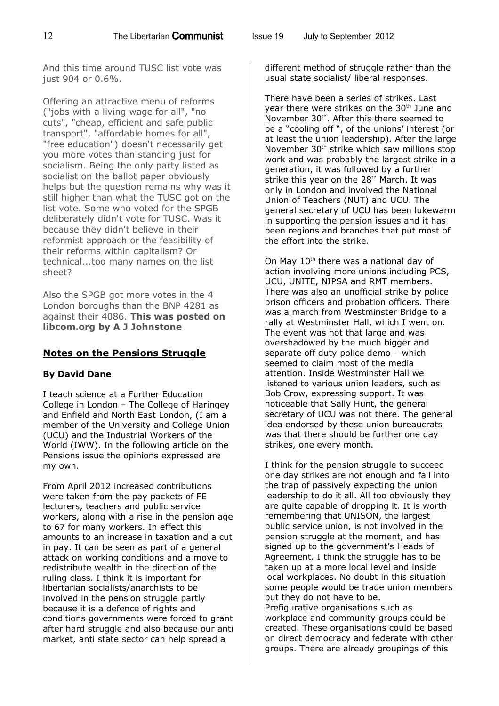And this time around TUSC list vote was just 904 or 0.6%.

Offering an attractive menu of reforms ("jobs with a living wage for all", "no cuts", "cheap, efficient and safe public transport", "affordable homes for all", "free education") doesn't necessarily get you more votes than standing just for socialism. Being the only party listed as socialist on the ballot paper obviously helps but the question remains why was it still higher than what the TUSC got on the list vote. Some who voted for the SPGB deliberately didn't vote for TUSC. Was it because they didn't believe in their reformist approach or the feasibility of their reforms within capitalism? Or technical...too many names on the list sheet?

Also the SPGB got more votes in the 4 London boroughs than the BNP 4281 as against their 4086. **This was posted on libcom.org by A J Johnstone**

# **Notes on the Pensions Struggle**

# **By David Dane**

I teach science at a Further Education College in London – The College of Haringey and Enfield and North East London, (I am a member of the University and College Union (UCU) and the Industrial Workers of the World (IWW). In the following article on the Pensions issue the opinions expressed are my own.

From April 2012 increased contributions were taken from the pay packets of FE lecturers, teachers and public service workers, along with a rise in the pension age to 67 for many workers. In effect this amounts to an increase in taxation and a cut in pay. It can be seen as part of a general attack on working conditions and a move to redistribute wealth in the direction of the ruling class. I think it is important for libertarian socialists/anarchists to be involved in the pension struggle partly because it is a defence of rights and conditions governments were forced to grant after hard struggle and also because our anti market, anti state sector can help spread a

different method of struggle rather than the usual state socialist/ liberal responses.

There have been a series of strikes. Last year there were strikes on the  $30<sup>th</sup>$  June and November 30<sup>th</sup>. After this there seemed to be a "cooling off ", of the unions' interest (or at least the union leadership). After the large November  $30<sup>th</sup>$  strike which saw millions stop work and was probably the largest strike in a generation, it was followed by a further strike this year on the 28<sup>th</sup> March. It was only in London and involved the National Union of Teachers (NUT) and UCU. The general secretary of UCU has been lukewarm in supporting the pension issues and it has been regions and branches that put most of the effort into the strike.

On May 10<sup>th</sup> there was a national day of action involving more unions including PCS, UCU, UNITE, NIPSA and RMT members. There was also an unofficial strike by police prison officers and probation officers. There was a march from Westminster Bridge to a rally at Westminster Hall, which I went on. The event was not that large and was overshadowed by the much bigger and separate off duty police demo – which seemed to claim most of the media attention. Inside Westminster Hall we listened to various union leaders, such as Bob Crow, expressing support. It was noticeable that Sally Hunt, the general secretary of UCU was not there. The general idea endorsed by these union bureaucrats was that there should be further one day strikes, one every month.

I think for the pension struggle to succeed one day strikes are not enough and fall into the trap of passively expecting the union leadership to do it all. All too obviously they are quite capable of dropping it. It is worth remembering that UNISON, the largest public service union, is not involved in the pension struggle at the moment, and has signed up to the government's Heads of Agreement. I think the struggle has to be taken up at a more local level and inside local workplaces. No doubt in this situation some people would be trade union members but they do not have to be. Prefigurative organisations such as

workplace and community groups could be created. These organisations could be based on direct democracy and federate with other groups. There are already groupings of this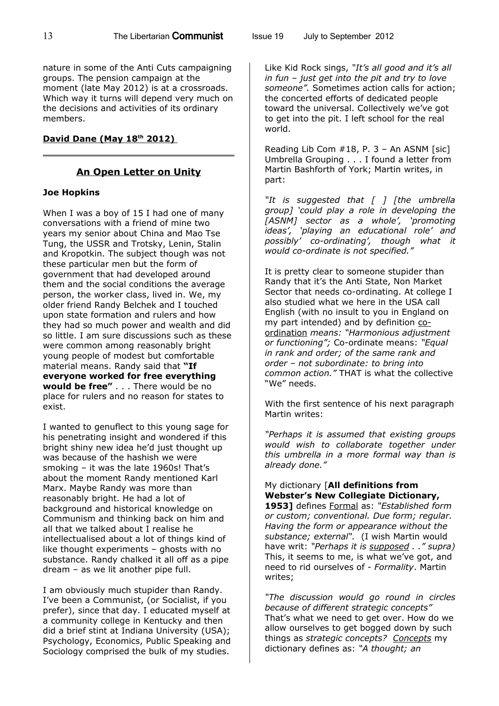# **David Dane (May 18th 2012)**

# **An Open Letter on Unity**

# **Joe Hopkins**

When I was a boy of 15 I had one of many conversations with a friend of mine two years my senior about China and Mao Tse Tung, the USSR and Trotsky, Lenin, Stalin and Kropotkin. The subject though was not these particular men but the form of government that had developed around them and the social conditions the average person, the worker class, lived in. We, my older friend Randy Belchek and I touched upon state formation and rulers and how they had so much power and wealth and did so little. I am sure discussions such as these were common among reasonably bright young people of modest but comfortable material means. Randy said that **"If everyone worked for free everything would be free"** . . . There would be no place for rulers and no reason for states to exist.

I wanted to genuflect to this young sage for his penetrating insight and wondered if this bright shiny new idea he'd just thought up was because of the hashish we were smoking – it was the late 1960s! That's about the moment Randy mentioned Karl Marx. Maybe Randy was more than reasonably bright. He had a lot of background and historical knowledge on Communism and thinking back on him and all that we talked about I realise he intellectualised about a lot of things kind of like thought experiments – ghosts with no substance. Randy chalked it all off as a pipe dream – as we lit another pipe full.

I am obviously much stupider than Randy. I've been a Communist, (or Socialist, if you prefer), since that day. I educated myself at a community college in Kentucky and then did a brief stint at Indiana University (USA); Psychology, Economics, Public Speaking and Sociology comprised the bulk of my studies.

Like Kid Rock sings, *"It's all good and it's all in fun* – *just get into the pit and try to love someone".* Sometimes action calls for action; the concerted efforts of dedicated people toward the universal. Collectively we've got to get into the pit. I left school for the real world.

Reading Lib Com #18, P. 3 – An ASNM [sic] Umbrella Grouping . . . I found a letter from Martin Bashforth of York; Martin writes, in part:

*"It is suggested that [ ] [the umbrella group] 'could play a role in developing the [ASNM] sector as a whole', 'promoting ideas', 'playing an educational role' and possibly' co-ordinating', though what it would co-ordinate is not specified."*

It is pretty clear to someone stupider than Randy that it's the Anti State, Non Market Sector that needs co-ordinating. At college I also studied what we here in the USA call English (with no insult to you in England on my part intended) and by definition coordination *means: "Harmonious adjustment or functioning";* Co-ordinate means: *"Equal in rank and order; of the same rank and order – not subordinate: to bring into common action."* THAT is what the collective "We" needs.

With the first sentence of his next paragraph Martin writes:

*"Perhaps it is assumed that existing groups would wish to collaborate together under this umbrella in a more formal way than is already done."*

### My dictionary [**All definitions from Webster's New Collegiate Dictionary,**

**1953]** defines Formal as: *"Established form or custom; conventional. Due form; regular. Having the form or appearance without the substance; external".* (I wish Martin would have writ: *"Perhaps it is supposed . ." supra)* This, it seems to me, is what we've got, and need to rid ourselves of - *Formality*. Martin writes;

*"The discussion would go round in circles because of different strategic concepts"*  That's what we need to get over. How do we allow ourselves to get bogged down by such things as *strategic concepts? Concepts* my dictionary defines as: *"A thought; an*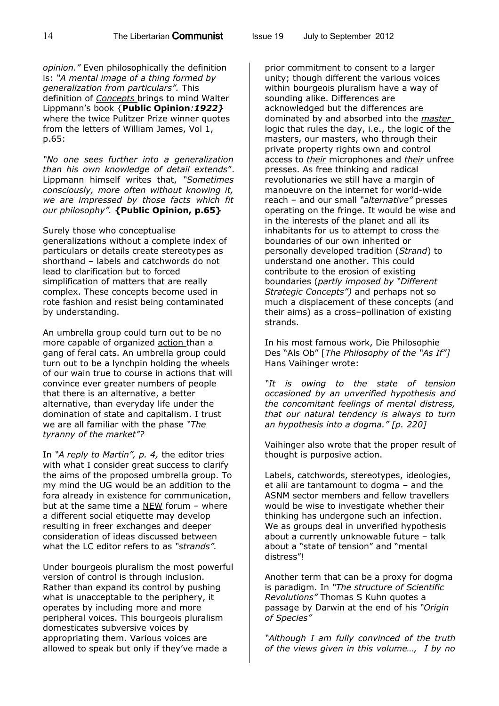*opinion."* Even philosophically the definition is: *"A mental image of a thing formed by generalization from particulars".* This definition of *Concepts* brings to mind Walter Lippmann's book {**Public Opinion***:1922}* where the twice Pulitzer Prize winner quotes from the letters of William James, Vol 1, p.65:

*"No one sees further into a generalization than his own knowledge of detail extends*". Lippmann himself writes that, *"Sometimes consciously, more often without knowing it, we are impressed by those facts which fit our philosophy".* **{Public Opinion, p.65}**

Surely those who conceptualise generalizations without a complete index of particulars or details create stereotypes as shorthand – labels and catchwords do not lead to clarification but to forced simplification of matters that are really complex. These concepts become used in rote fashion and resist being contaminated by understanding.

An umbrella group could turn out to be no more capable of organized action than a gang of feral cats. An umbrella group could turn out to be a lynchpin holding the wheels of our wain true to course in actions that will convince ever greater numbers of people that there is an alternative, a better alternative, than everyday life under the domination of state and capitalism. I trust we are all familiar with the phase *"The tyranny of the market"?*

In *"A reply to Martin", p. 4,* the editor tries with what I consider great success to clarify the aims of the proposed umbrella group. To my mind the UG would be an addition to the fora already in existence for communication, but at the same time a NEW forum – where a different social etiquette may develop resulting in freer exchanges and deeper consideration of ideas discussed between what the LC editor refers to as *"strands".*

Under bourgeois pluralism the most powerful version of control is through inclusion. Rather than expand its control by pushing what is unacceptable to the periphery, it operates by including more and more peripheral voices. This bourgeois pluralism domesticates subversive voices by appropriating them. Various voices are allowed to speak but only if they've made a

prior commitment to consent to a larger unity; though different the various voices within bourgeois pluralism have a way of sounding alike. Differences are acknowledged but the differences are dominated by and absorbed into the *master* logic that rules the day, i.e., the logic of the masters, our masters, who through their private property rights own and control access to *their* microphones and *their* unfree presses. As free thinking and radical revolutionaries we still have a margin of manoeuvre on the internet for world-wide reach – and our small *"alternative"* presses operating on the fringe. It would be wise and in the interests of the planet and all its inhabitants for us to attempt to cross the boundaries of our own inherited or personally developed tradition (*Strand*) to understand one another. This could contribute to the erosion of existing boundaries (*partly imposed by "Different Strategic Concepts")* and perhaps not so much a displacement of these concepts (and their aims) as a cross–pollination of existing strands.

In his most famous work, Die Philosophie Des "Als Ob" [*The Philosophy of the "As If"]* Hans Vaihinger wrote:

*"It is owing to the state of tension occasioned by an unverified hypothesis and the concomitant feelings of mental distress, that our natural tendency is always to turn an hypothesis into a dogma." [p. 220]*

Vaihinger also wrote that the proper result of thought is purposive action.

Labels, catchwords, stereotypes, ideologies, et alii are tantamount to dogma – and the ASNM sector members and fellow travellers would be wise to investigate whether their thinking has undergone such an infection. We as groups deal in unverified hypothesis about a currently unknowable future – talk about a "state of tension" and "mental distress"!

Another term that can be a proxy for dogma is paradigm. In *"The structure of Scientific Revolutions"* Thomas S Kuhn quotes a passage by Darwin at the end of his *"Origin of Species"* 

*"Although I am fully convinced of the truth of the views given in this volume…, I by no*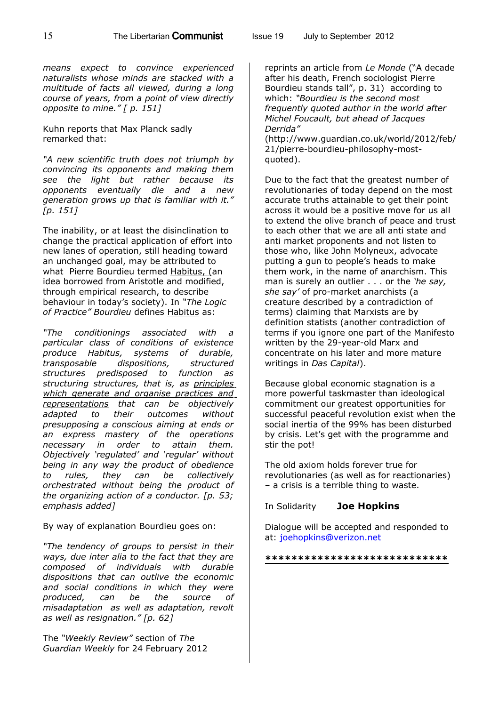*means expect to convince experienced naturalists whose minds are stacked with a multitude of facts all viewed, during a long course of years, from a point of view directly opposite to mine." [ p. 151]*

Kuhn reports that Max Planck sadly remarked that:

*"A new scientific truth does not triumph by convincing its opponents and making them see the light but rather because its opponents eventually die and a new generation grows up that is familiar with it." [p. 151]*

The inability, or at least the disinclination to change the practical application of effort into new lanes of operation, still heading toward an unchanged goal, may be attributed to what Pierre Bourdieu termed Habitus, (an idea borrowed from Aristotle and modified, through empirical research, to describe behaviour in today's society). In *"The Logic of Practice" Bourdieu* defines Habitus as:

*"The conditionings associated with a particular class of conditions of existence produce Habitus, systems of durable, transposable dispositions, structured structures predisposed to function as structuring structures, that is, as principles which generate and organise practices and representations that can be objectively adapted to their outcomes without presupposing a conscious aiming at ends or an express mastery of the operations necessary in order to attain them. Objectively 'regulated' and 'regular' without being in any way the product of obedience to rules, they can be collectively orchestrated without being the product of the organizing action of a conductor. [p. 53; emphasis added]*

By way of explanation Bourdieu goes on:

*"The tendency of groups to persist in their ways, due inter alia to the fact that they are composed of individuals with durable dispositions that can outlive the economic and social conditions in which they were produced, can be the source of misadaptation as well as adaptation, revolt as well as resignation." [p. 62]*

The *"Weekly Review"* section of *The Guardian Weekly* for 24 February 2012 reprints an article from *Le Monde* ("A decade after his death, French sociologist Pierre Bourdieu stands tall", p. 31) according to which: *"Bourdieu is the second most frequently quoted author in the world after Michel Foucault, but ahead of Jacques Derrida"*

(http://www.guardian.co.uk/world/2012/feb/ 21/pierre-bourdieu-philosophy-mostquoted).

Due to the fact that the greatest number of revolutionaries of today depend on the most accurate truths attainable to get their point across it would be a positive move for us all to extend the olive branch of peace and trust to each other that we are all anti state and anti market proponents and not listen to those who, like John Molyneux, advocate putting a gun to people's heads to make them work, in the name of anarchism. This man is surely an outlier . . . or the *'he say, she say'* of pro-market anarchists (a creature described by a contradiction of terms) claiming that Marxists are by definition statists (another contradiction of terms if you ignore one part of the Manifesto written by the 29-year-old Marx and concentrate on his later and more mature writings in *Das Capital*).

Because global economic stagnation is a more powerful taskmaster than ideological commitment our greatest opportunities for successful peaceful revolution exist when the social inertia of the 99% has been disturbed by crisis. Let's get with the programme and stir the pot!

The old axiom holds forever true for revolutionaries (as well as for reactionaries) – a crisis is a terrible thing to waste.

In Solidarity **Joe Hopkins**

Dialogue will be accepted and responded to at: [joehopkins@verizon.net](mailto:joehopkins@verizon.net) 

**\*\*\*\*\*\*\*\*\*\*\*\*\*\*\*\*\*\*\*\*\*\*\*\*\*\*\*\***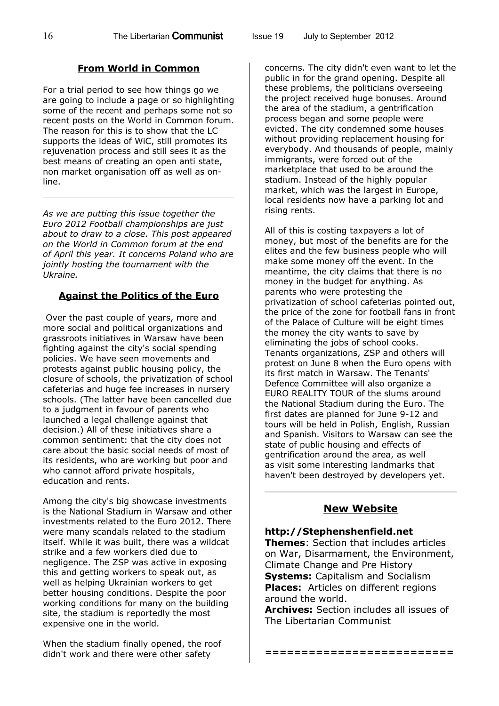# **From World in Common**

For a trial period to see how things go we are going to include a page or so highlighting some of the recent and perhaps some not so recent posts on the World in Common forum. The reason for this is to show that the LC supports the ideas of WiC, still promotes its rejuvenation process and still sees it as the best means of creating an open anti state, non market organisation off as well as online.

*As we are putting this issue together the Euro 2012 Football championships are just about to draw to a close. This post appeared on the World in Common forum at the end of April this year. It concerns Poland who are jointly hosting the tournament with the Ukraine.* 

# **Against the Politics of the Euro**

 Over the past couple of years, more and more social and political organizations and grassroots initiatives in Warsaw have been fighting against the city's social spending policies. We have seen movements and protests against public housing policy, the closure of schools, the privatization of school cafeterias and huge fee increases in nursery schools. (The latter have been cancelled due to a judgment in favour of parents who launched a legal challenge against that decision.) All of these initiatives share a common sentiment: that the city does not care about the basic social needs of most of its residents, who are working but poor and who cannot afford private hospitals, education and rents.

Among the city's big showcase investments is the National Stadium in Warsaw and other investments related to the Euro 2012. There were many scandals related to the stadium itself. While it was built, there was a wildcat strike and a few workers died due to negligence. The ZSP was active in exposing this and getting workers to speak out, as well as helping Ukrainian workers to get better housing conditions. Despite the poor working conditions for many on the building site, the stadium is reportedly the most expensive one in the world.

When the stadium finally opened, the roof didn't work and there were other safety

concerns. The city didn't even want to let the public in for the grand opening. Despite all these problems, the politicians overseeing the project received huge bonuses. Around the area of the stadium, a gentrification process began and some people were evicted. The city condemned some houses without providing replacement housing for everybody. And thousands of people, mainly immigrants, were forced out of the marketplace that used to be around the stadium. Instead of the highly popular market, which was the largest in Europe, local residents now have a parking lot and rising rents.

All of this is costing taxpayers a lot of money, but most of the benefits are for the elites and the few business people who will make some money off the event. In the meantime, the city claims that there is no money in the budget for anything. As parents who were protesting the privatization of school cafeterias pointed out, the price of the zone for football fans in front of the Palace of Culture will be eight times the money the city wants to save by eliminating the jobs of school cooks. Tenants organizations, ZSP and others will protest on June 8 when the Euro opens with its first match in Warsaw. The Tenants' Defence Committee will also organize a EURO REALITY TOUR of the slums around the National Stadium during the Euro. The first dates are planned for June 9-12 and tours will be held in Polish, English, Russian and Spanish. Visitors to Warsaw can see the state of public housing and effects of gentrification around the area, as well as visit some interesting landmarks that haven't been destroyed by developers yet.

# **New Website**

# **http://Stephenshenfield.net**

**Themes**: Section that includes articles on War, Disarmament, the Environment, Climate Change and Pre History **Systems:** Capitalism and Socialism **Places:** Articles on different regions around the world.

**Archives:** Section includes all issues of The Libertarian Communist

**==========================**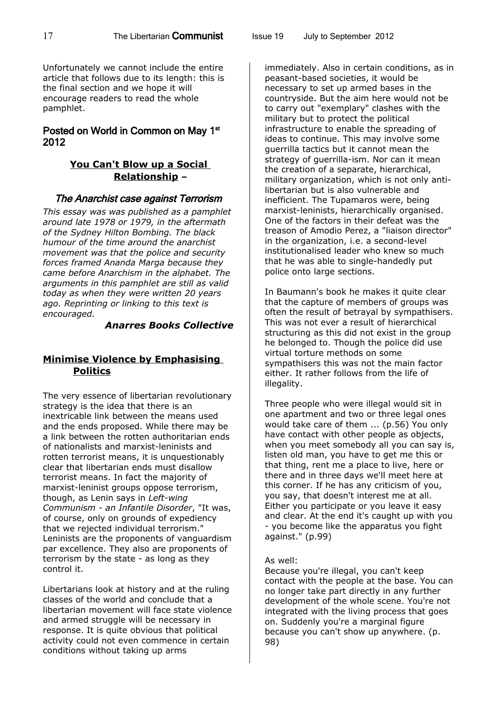Unfortunately we cannot include the entire article that follows due to its length: this is the final section and we hope it will encourage readers to read the whole pamphlet.

# Posted on World in Common on May 1<sup>st</sup> 2012

# **You Can't Blow up a Social Relationship** *–*

# The Anarchist case against Terrorism

*This essay was was published as a pamphlet around late 1978 or 1979, in the aftermath of the Sydney Hilton Bombing. The black humour of the time around the anarchist movement was that the police and security forces framed Ananda Marga because they came before Anarchism in the alphabet. The arguments in this pamphlet are still as valid today as when they were written 20 years ago. Reprinting or linking to this text is encouraged.*

# *Anarres Books Collective*

# **Minimise Violence by Emphasising Politics**

The very essence of libertarian revolutionary strategy is the idea that there is an inextricable link between the means used and the ends proposed. While there may be a link between the rotten authoritarian ends of nationalists and marxist-leninists and rotten terrorist means, it is unquestionably clear that libertarian ends must disallow terrorist means. In fact the majority of marxist-leninist groups oppose terrorism, though, as Lenin says in *Left-wing Communism - an Infantile Disorder*, "It was, of course, only on grounds of expediency that we rejected individual terrorism." Leninists are the proponents of vanguardism par excellence. They also are proponents of terrorism by the state - as long as they control it.

Libertarians look at history and at the ruling classes of the world and conclude that a libertarian movement will face state violence and armed struggle will be necessary in response. It is quite obvious that political activity could not even commence in certain conditions without taking up arms

immediately. Also in certain conditions, as in peasant-based societies, it would be necessary to set up armed bases in the countryside. But the aim here would not be to carry out "exemplary" clashes with the military but to protect the political infrastructure to enable the spreading of ideas to continue. This may involve some guerrilla tactics but it cannot mean the strategy of guerrilla-ism. Nor can it mean the creation of a separate, hierarchical, military organization, which is not only antilibertarian but is also vulnerable and inefficient. The Tupamaros were, being marxist-leninists, hierarchically organised. One of the factors in their defeat was the treason of Amodio Perez, a "liaison director" in the organization, i.e. a second-level institutionalised leader who knew so much that he was able to single-handedly put police onto large sections.

In Baumann's book he makes it quite clear that the capture of members of groups was often the result of betrayal by sympathisers. This was not ever a result of hierarchical structuring as this did not exist in the group he belonged to. Though the police did use virtual torture methods on some sympathisers this was not the main factor either. It rather follows from the life of illegality.

Three people who were illegal would sit in one apartment and two or three legal ones would take care of them ... (p.56) You only have contact with other people as objects, when you meet somebody all you can say is, listen old man, you have to get me this or that thing, rent me a place to live, here or there and in three days we'll meet here at this corner. If he has any criticism of you, you say, that doesn't interest me at all. Either you participate or you leave it easy and clear. At the end it's caught up with you - you become like the apparatus you fight against." (p.99)

# As well:

Because you're illegal, you can't keep contact with the people at the base. You can no longer take part directly in any further development of the whole scene. You're not integrated with the living process that goes on. Suddenly you're a marginal figure because you can't show up anywhere. (p. 98)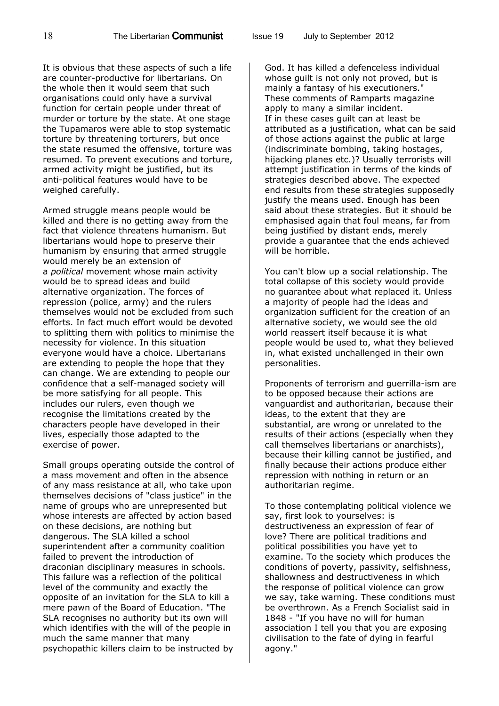It is obvious that these aspects of such a life are counter-productive for libertarians. On the whole then it would seem that such organisations could only have a survival function for certain people under threat of murder or torture by the state. At one stage the Tupamaros were able to stop systematic torture by threatening torturers, but once the state resumed the offensive, torture was resumed. To prevent executions and torture, armed activity might be justified, but its anti-political features would have to be weighed carefully.

Armed struggle means people would be killed and there is no getting away from the fact that violence threatens humanism. But libertarians would hope to preserve their humanism by ensuring that armed struggle would merely be an extension of a *political* movement whose main activity would be to spread ideas and build alternative organization. The forces of repression (police, army) and the rulers themselves would not be excluded from such efforts. In fact much effort would be devoted to splitting them with politics to minimise the necessity for violence. In this situation everyone would have a choice. Libertarians are extending to people the hope that they can change. We are extending to people our confidence that a self-managed society will be more satisfying for all people. This includes our rulers, even though we recognise the limitations created by the characters people have developed in their lives, especially those adapted to the exercise of power.

Small groups operating outside the control of a mass movement and often in the absence of any mass resistance at all, who take upon themselves decisions of "class justice" in the name of groups who are unrepresented but whose interests are affected by action based on these decisions, are nothing but dangerous. The SLA killed a school superintendent after a community coalition failed to prevent the introduction of draconian disciplinary measures in schools. This failure was a reflection of the political level of the community and exactly the opposite of an invitation for the SLA to kill a mere pawn of the Board of Education. "The SLA recognises no authority but its own will which identifies with the will of the people in much the same manner that many psychopathic killers claim to be instructed by

God. It has killed a defenceless individual whose guilt is not only not proved, but is mainly a fantasy of his executioners." These comments of Ramparts magazine apply to many a similar incident. If in these cases guilt can at least be attributed as a justification, what can be said of those actions against the public at large (indiscriminate bombing, taking hostages, hijacking planes etc.)? Usually terrorists will attempt justification in terms of the kinds of strategies described above. The expected end results from these strategies supposedly justify the means used. Enough has been said about these strategies. But it should be emphasised again that foul means, far from being justified by distant ends, merely provide a guarantee that the ends achieved will be horrible.

You can't blow up a social relationship. The total collapse of this society would provide no guarantee about what replaced it. Unless a majority of people had the ideas and organization sufficient for the creation of an alternative society, we would see the old world reassert itself because it is what people would be used to, what they believed in, what existed unchallenged in their own personalities.

Proponents of terrorism and guerrilla-ism are to be opposed because their actions are vanguardist and authoritarian, because their ideas, to the extent that they are substantial, are wrong or unrelated to the results of their actions (especially when they call themselves libertarians or anarchists), because their killing cannot be justified, and finally because their actions produce either repression with nothing in return or an authoritarian regime.

To those contemplating political violence we say, first look to yourselves: is destructiveness an expression of fear of love? There are political traditions and political possibilities you have yet to examine. To the society which produces the conditions of poverty, passivity, selfishness, shallowness and destructiveness in which the response of political violence can grow we say, take warning. These conditions must be overthrown. As a French Socialist said in 1848 - "If you have no will for human association I tell you that you are exposing civilisation to the fate of dying in fearful agony."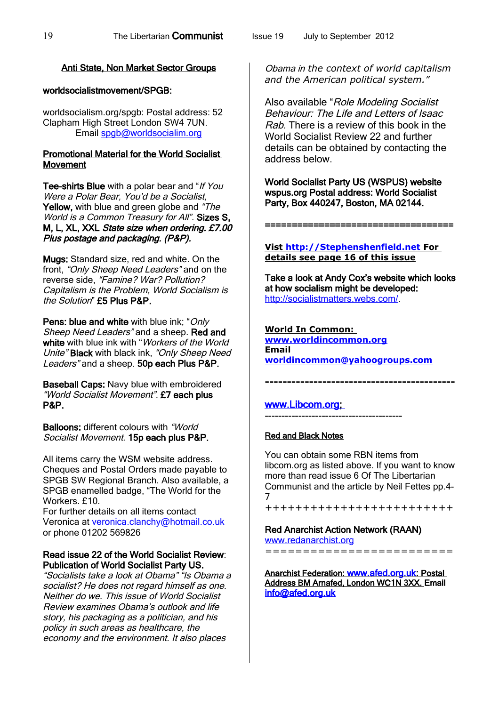# Anti State, Non Market Sector Groups

### worldsocialistmovement/SPGB:

worldsocialism.org/spgb: Postal address: 52 Clapham High Street London SW4 7UN. Email [spgb@worldsocialim.org](mailto:spgb@worldsocialim.org)

# Promotional Material for the World Socialist **Movement**

Tee-shirts Blue with a polar bear and "If You Were a Polar Bear, You'd be a Socialist, Yellow, with blue and green globe and "The World is a Common Treasury for All". Sizes S. M, L, XL, XXL State size when ordering. £7.00 Plus postage and packaging. (P&P).

Mugs: Standard size, red and white. On the front, "Only Sheep Need Leaders" and on the reverse side, "Famine? War? Pollution? Capitalism is the Problem, World Socialism is the Solution" £5 Plus P&P.

Pens: blue and white with blue ink; "Only Sheep Need Leaders" and a sheep. Red and white with blue ink with "Workers of the World" Unite" Black with black ink, "Only Sheep Need Leaders" and a sheep. 50p each Plus P&P.

Baseball Caps: Navy blue with embroidered "World Socialist Movement". £7 each plus P&P.

Balloons: different colours with "World" Socialist Movement. 15p each plus P&P.

All items carry the WSM website address. Cheques and Postal Orders made payable to SPGB SW Regional Branch. Also available, a SPGB enamelled badge, "The World for the Workers. £10.

For further details on all items contact Veronica at [veronica.clanchy@hotmail.co.uk](mailto:veronica.clanchy@hotmail.co.uk) or phone 01202 569826

### Read issue 22 of the World Socialist Review: Publication of World Socialist Party US.

"Socialists take a look at Obama" "Is Obama a socialist? He does not regard himself as one. Neither do we. This issue of World Socialist Review examines Obama's outlook and life story, his packaging as a politician, and his policy in such areas as healthcare, the economy and the environment. It also places

Obama in *the context of world capitalism and the American political system."*

Also available "Role Modeling Socialist Behaviour: The Life and Letters of Isaac Rab. There is a review of this book in the World Socialist Review 22 and further details can be obtained by contacting the address below.

World Socialist Party US (WSPUS) website wspus.org Postal address: World Socialist Party, Box 440247, Boston, MA 02144.

===================================

 **Vist [http://Stephenshenfield.net](http://Stephenshenfield.net/) For details see page 16 of this issue**

Take a look at Andy Cox's website which looks at how socialism might be developed: [http://socialistmatters.webs.com/.](http://socialistmatters.webs.com/)

# **World In Common:**

**[www.worldincommon.org](http://www.worldincommon.org/) Email [worldincommon@yahoogroups.com](mailto:worldincommon@yahoogroups.com)**

**-------------------------------------------**

# www.Libcom.org

-----------------------------------------

# Red and Black Notes

You can obtain some RBN items from libcom.org as listed above. If you want to know more than read issue 6 Of The Libertarian Communist and the article by Neil Fettes pp.4- 7

+++++++++++++++++++++++++

# Red Anarchist Action Network (RAAN)

[www.redanarchist.org](http://www.redanarchist.org/)

=========================

Anarchist Federation: [www.afed.org.uk](http://www.afed.org.uk/): Postal Address BM Arnafed, London WC1N 3XX. Email [info@afed.org.uk](mailto:info@afed.org.uk)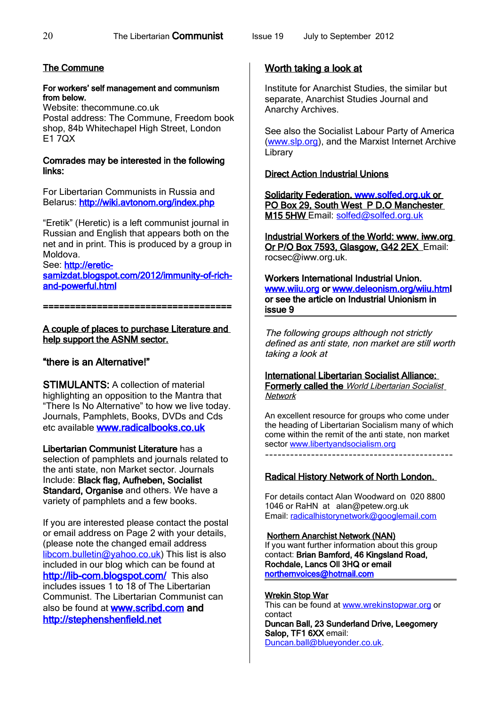# The Commune

### For workers' self management and communism from below.

Website: thecommune.co.uk Postal address: The Commune, Freedom book shop, 84b Whitechapel High Street, London E1 7QX

# Comrades may be interested in the following links:

For Libertarian Communists in Russia and Belarus:<http://wiki.avtonom.org/index.php>

"Eretik" (Heretic) is a left communist journal in Russian and English that appears both on the net and in print. This is produced by a group in Moldova.

See: [http://eretic](http://eretic-samizdat.blogspot.com/2012/immunity-of-rich-and-powerful.html)[samizdat.blogspot.com/2012/immunity-of-rich](http://eretic-samizdat.blogspot.com/2012/immunity-of-rich-and-powerful.html)[and-powerful.html](http://eretic-samizdat.blogspot.com/2012/immunity-of-rich-and-powerful.html)

A couple of places to purchase Literature and help support the ASNM sector.

===================================

# "there is an Alternative!"

STIMULANTS: A collection of material highlighting an opposition to the Mantra that "There Is No Alternative" to how we live today. Journals, Pamphlets, Books, DVDs and Cds etc available [www.radicalbooks.co.uk](http://www.radicalbooks.co.uk/) 

Libertarian Communist Literature has a selection of pamphlets and journals related to the anti state, non Market sector. Journals Include: Black flag, Aufheben, Socialist Standard, Organise and others. We have a variety of pamphlets and a few books.

If you are interested please contact the postal or email address on Page 2 with your details, (please note the changed email address [libcom.bulletin@yahoo.co.uk\)](mailto:libcom.bulletin@yahoo.co.uk) This list is also included in our blog which can be found at <http://lib-com.blogspot.com/>This also includes issues 1 to 18 of The Libertarian Communist. The Libertarian Communist can also be found at **www.scribd.com** and [http://stephenshenfield.net](http://stephenshenfield.net/) 

# Worth taking a look at

Institute for Anarchist Studies, the similar but separate, Anarchist Studies Journal and Anarchy Archives.

See also the Socialist Labour Party of America [\(www.slp.org\)](http://www.slp.org/), and the Marxist Internet Archive **Library** 

# Direct Action Industrial Unions

 Solidarity Federation. [www.solfed.org.uk](http://www.solfed.org.uk/) or PO Box 29, South West P D.O Manchester M15 5HW Email: [solfed@solfed.org.uk](mailto:solfed@solfed.org.uk)

Industrial Workers of the World: www. iww.org Or P/O Box 7593, Glasgow, G42 2EX Email: rocsec@iww.org.uk.

Workers International Industrial Union. [www.wiiu.org](http://www.wiiu.org/) or [www.deleonism.org/wiiu.html](http://www.deleonism.org/wiiu.htm) or see the article on Industrial Unionism in issue 9

The following groups although not strictly defined as anti state, non market are still worth taking a look at

# International Libertarian Socialist Alliance:

Formerly called the World Libertarian Socialist Network

An excellent resource for groups who come under the heading of Libertarian Socialism many of which come within the remit of the anti state, non market sector [www.libertyandsocialism.org](http://www.libertyandsocialism.org/)

# Radical History Network of North London.

For details contact Alan Woodward on 020 8800 1046 or RaHN at alan@petew.org.uk Email: [radicalhistorynetwork@googlemail.com](mailto:radicalhistorynetwork@googlemail.com)

# Northern Anarchist Network (NAN)

If you want further information about this group contact: Brian Bamford, 46 Kingsland Road, Rochdale, Lancs Oll 3HQ or email [northernvoices@hotmail.com](mailto:northernvoices@hotmail.com) 

# Wrekin Stop War

This can be found at [www.wrekinstopwar.org](http://www.wrekinstopwar.org/) or contact Duncan Ball, 23 Sunderland Drive, Leegomery Salop, TF1 6XX email: [Duncan.ball@blueyonder.co.uk.](mailto:Duncan.ball@blueyonder.co.uk)